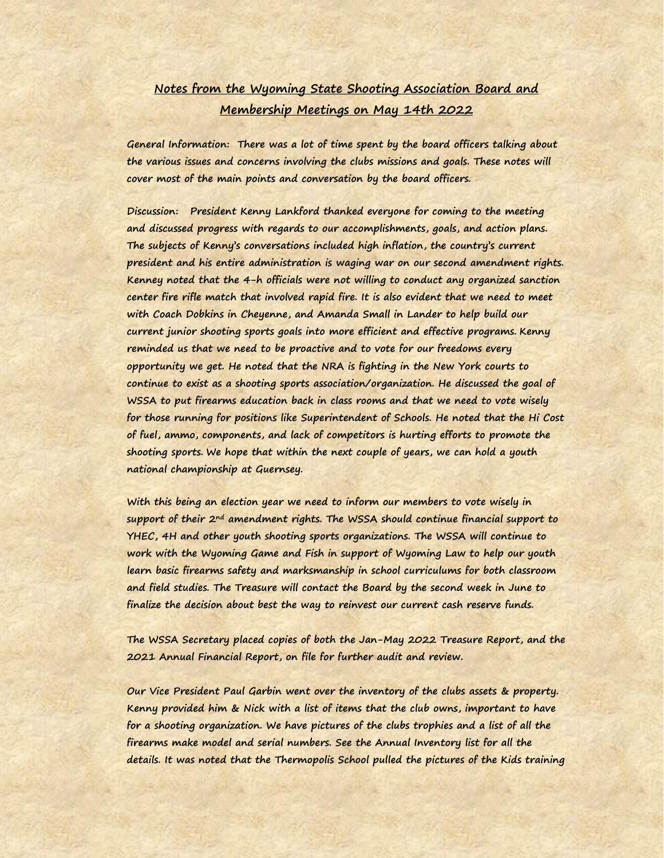## **Notes from the Wyoming State Shooting Association Board and Membership Meetings on May 14th 2022**

**General Information: There was a lot of time spent by the board officers talking about the various issues and concerns involving the clubs missions and goals. These notes will cover most of the main points and conversation by the board officers.** 

**Discussion: President Kenny Lankford thanked everyone for coming to the meeting and discussed progress with regards to our accomplishments, goals, and action plans. The subjects of Kenny's conversations included high inflation, the country's current president and his entire administration is waging war on our second amendment rights. Kenney noted that the 4-h officials were not willing to conduct any organized sanction center fire rifle match that involved rapid fire. It is also evident that we need to meet with Coach Dobkins in Cheyenne, and Amanda Small in Lander to help build our current junior shooting sports goals into more efficient and effective programs. Kenny reminded us that we need to be proactive and to vote for our freedoms every opportunity we get. He noted that the NRA is fighting in the New York courts to continue to exist as a shooting sports association/organization. He discussed the goal of WSSA to put firearms education back in class rooms and that we need to vote wisely for those running for positions like Superintendent of Schools. He noted that the Hi Cost of fuel, ammo, components, and lack of competitors is hurting efforts to promote the shooting sports. We hope that within the next couple of years, we can hold a youth national championship at Guernsey.**

**With this being an election year we need to inform our members to vote wisely in support of their 2nd amendment rights. The WSSA should continue financial support to YHEC, 4H and other youth shooting sports organizations. The WSSA will continue to work with the Wyoming Game and Fish in support of Wyoming Law to help our youth learn basic firearms safety and marksmanship in school curriculums for both classroom and field studies. The Treasure will contact the Board by the second week in June to finalize the decision about best the way to reinvest our current cash reserve funds.** 

**The WSSA Secretary placed copies of both the Jan-May 2022 Treasure Report, and the 2021 Annual Financial Report, on file for further audit and review.** 

**Our Vice President Paul Garbin went over the inventory of the clubs assets & property. Kenny provided him & Nick with a list of items that the club owns, important to have for a shooting organization. We have pictures of the clubs trophies and a list of all the firearms make model and serial numbers. See the Annual Inventory list for all the details. It was noted that the Thermopolis School pulled the pictures of the Kids training**